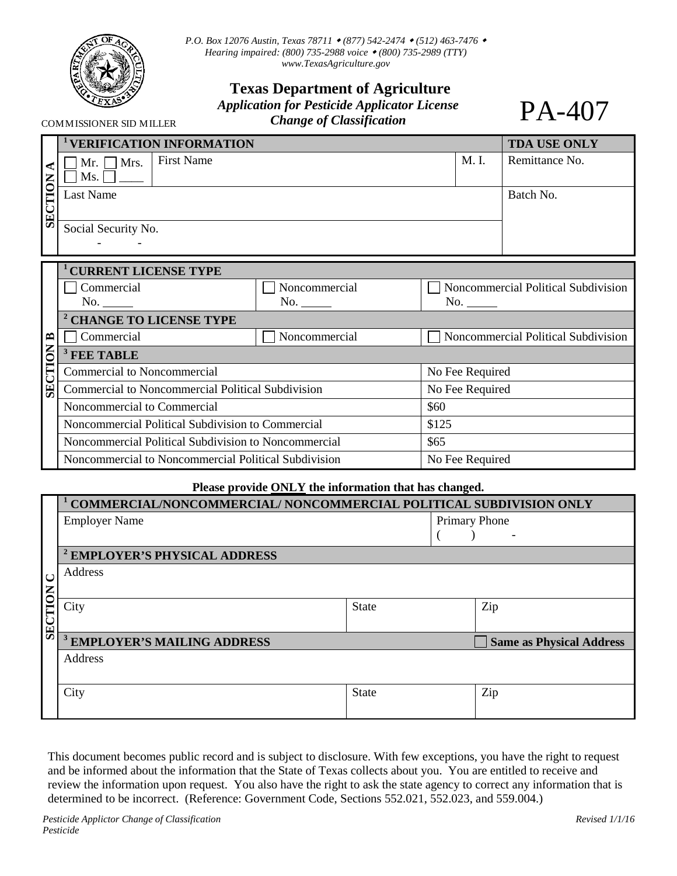

COMMISSIONER SID MILLER

*P.O. Box 12076 Austin, Texas 78711 (877) 542-2474 (512) 463-7476 Hearing impaired: (800) 735-2988 voice (800) 735-2989 (TTY) [www.TexasAgriculture.gov](http://www.agr.state.tx.us/)* 

## **Texas Department of Agriculture**

*Application for Pesticide Applicator License* 

*Change of Classification* 

|                         | <b>VERIFICATION INFORMATION</b>                      |               |                 | <b>TDA USE ONLY</b>                 |  |  |
|-------------------------|------------------------------------------------------|---------------|-----------------|-------------------------------------|--|--|
| <b>SECTION</b>          | <b>First Name</b><br>Mr. $\Box$ Mrs.                 |               | M. I.           | Remittance No.                      |  |  |
|                         | Ms.                                                  |               |                 |                                     |  |  |
|                         | Last Name                                            |               |                 | Batch No.                           |  |  |
|                         |                                                      |               |                 |                                     |  |  |
|                         | Social Security No.                                  |               |                 |                                     |  |  |
|                         |                                                      |               |                 |                                     |  |  |
|                         | <b>CURRENT LICENSE TYPE</b>                          |               |                 |                                     |  |  |
| $\mathbf{r}$<br>SECTION | Commercial                                           | Noncommercial |                 | Noncommercial Political Subdivision |  |  |
|                         | No.                                                  | No.           | No.             |                                     |  |  |
|                         | <sup>2</sup> CHANGE TO LICENSE TYPE                  |               |                 |                                     |  |  |
|                         | Commercial                                           | Noncommercial |                 | Noncommercial Political Subdivision |  |  |
|                         | <sup>3</sup> FEE TABLE                               |               |                 |                                     |  |  |
|                         | <b>Commercial to Noncommercial</b>                   |               | No Fee Required |                                     |  |  |
|                         | Commercial to Noncommercial Political Subdivision    |               | No Fee Required |                                     |  |  |
|                         | Noncommercial to Commercial                          |               | \$60            |                                     |  |  |
|                         | Noncommercial Political Subdivision to Commercial    |               | \$125           |                                     |  |  |
|                         | Noncommercial Political Subdivision to Noncommercial |               | \$65            |                                     |  |  |
|                         | Noncommercial to Noncommercial Political Subdivision |               | No Fee Required |                                     |  |  |

## **Please provide ONLY the information that has changed.**

|                | COMMERCIAL/NONCOMMERCIAL/ NONCOMMERCIAL POLITICAL SUBDIVISION ONLY |              |  |                                 |  |  |
|----------------|--------------------------------------------------------------------|--------------|--|---------------------------------|--|--|
|                | <b>Employer Name</b>                                               |              |  | <b>Primary Phone</b>            |  |  |
|                |                                                                    |              |  |                                 |  |  |
|                | <sup>2</sup> EMPLOYER'S PHYSICAL ADDRESS                           |              |  |                                 |  |  |
|                | Address                                                            |              |  |                                 |  |  |
|                |                                                                    |              |  |                                 |  |  |
| <b>SECTION</b> | City                                                               | <b>State</b> |  | Zip                             |  |  |
|                |                                                                    |              |  |                                 |  |  |
|                | <sup>3</sup> EMPLOYER'S MAILING ADDRESS                            |              |  | <b>Same as Physical Address</b> |  |  |
|                | Address                                                            |              |  |                                 |  |  |
|                |                                                                    |              |  |                                 |  |  |
|                | City                                                               | <b>State</b> |  | Zip                             |  |  |
|                |                                                                    |              |  |                                 |  |  |

This document becomes public record and is subject to disclosure. With few exceptions, you have the right to request and be informed about the information that the State of Texas collects about you. You are entitled to receive and review the information upon request. You also have the right to ask the state agency to correct any information that is determined to be incorrect. (Reference: Government Code, Sections 552.021, 552.023, and 559.004.)